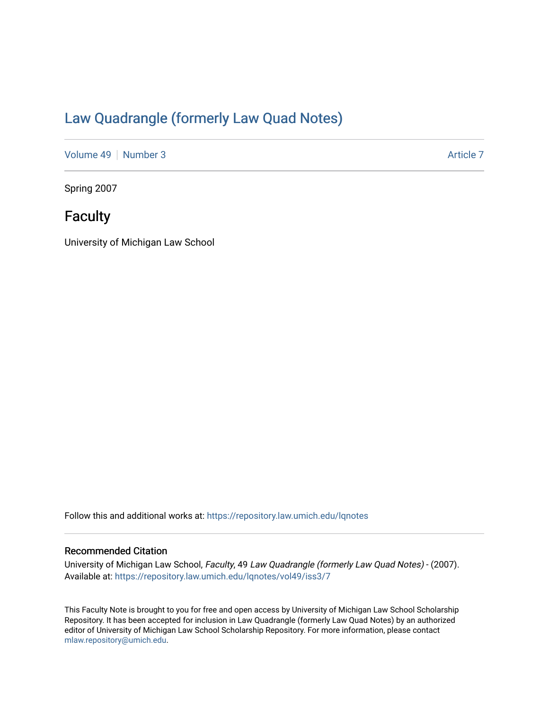### [Law Quadrangle \(formerly Law Quad Notes\)](https://repository.law.umich.edu/lqnotes)

[Volume 49](https://repository.law.umich.edu/lqnotes/vol49) [Number 3](https://repository.law.umich.edu/lqnotes/vol49/iss3) Article 7

Spring 2007

## **Faculty**

University of Michigan Law School

Follow this and additional works at: [https://repository.law.umich.edu/lqnotes](https://repository.law.umich.edu/lqnotes?utm_source=repository.law.umich.edu%2Flqnotes%2Fvol49%2Fiss3%2F7&utm_medium=PDF&utm_campaign=PDFCoverPages) 

#### Recommended Citation

University of Michigan Law School, Faculty, 49 Law Quadrangle (formerly Law Quad Notes) - (2007). Available at: [https://repository.law.umich.edu/lqnotes/vol49/iss3/7](https://repository.law.umich.edu/lqnotes/vol49/iss3/7?utm_source=repository.law.umich.edu%2Flqnotes%2Fvol49%2Fiss3%2F7&utm_medium=PDF&utm_campaign=PDFCoverPages) 

This Faculty Note is brought to you for free and open access by University of Michigan Law School Scholarship Repository. It has been accepted for inclusion in Law Quadrangle (formerly Law Quad Notes) by an authorized editor of University of Michigan Law School Scholarship Repository. For more information, please contact [mlaw.repository@umich.edu.](mailto:mlaw.repository@umich.edu)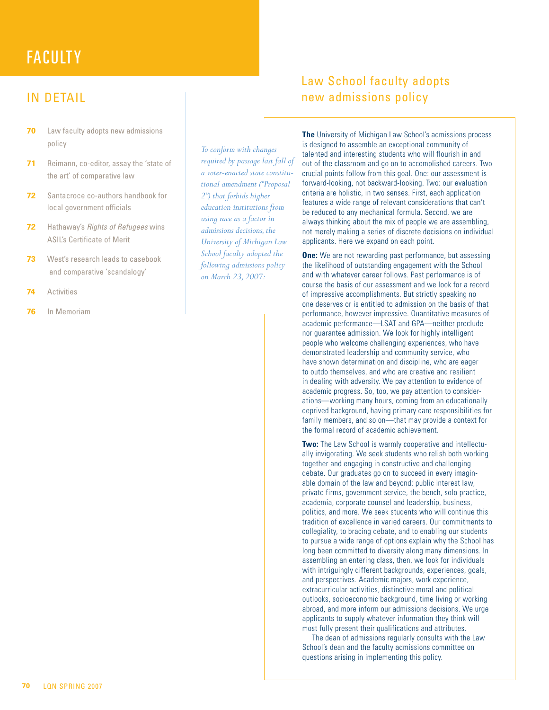# **FACULTY**

#### IN DETAIL

- **70** Law faculty adopts new admissions policy
- **71** Reimann, co-editor, assay the 'state of the art' of comparative law
- **72** Santacroce co-authors handbook for local government officials
- **72** Hathaway's Rights of Refugees wins ASIL's Certificate of Merit
- **73** West's research leads to casebook and comparative 'scandalogy'
- **74** Activities
- **76** In Memoriam

*To conform with changes required by passage last fall of a voter-enacted state constitutional amendment ("Proposal 2") that forbids higher education institutions from using race as a factor in admissions decisions, the University of Michigan Law School faculty adopted the following admissions policy on March 23, 2007:*

### Law School faculty adopts new admissions policy

**The** University of Michigan Law School's admissions process is designed to assemble an exceptional community of talented and interesting students who will flourish in and out of the classroom and go on to accomplished careers. Two crucial points follow from this goal. One: our assessment is forward-looking, not backward-looking. Two: our evaluation criteria are holistic, in two senses. First, each application features a wide range of relevant considerations that can't be reduced to any mechanical formula. Second, we are always thinking about the mix of people we are assembling, not merely making a series of discrete decisions on individual applicants. Here we expand on each point.

**One:** We are not rewarding past performance, but assessing the likelihood of outstanding engagement with the School and with whatever career follows. Past performance is of course the basis of our assessment and we look for a record of impressive accomplishments. But strictly speaking no one deserves or is entitled to admission on the basis of that performance, however impressive. Quantitative measures of academic performance—LSAT and GPA—neither preclude nor guarantee admission. We look for highly intelligent people who welcome challenging experiences, who have demonstrated leadership and community service, who have shown determination and discipline, who are eager to outdo themselves, and who are creative and resilient in dealing with adversity. We pay attention to evidence of academic progress. So, too, we pay attention to considerations—working many hours, coming from an educationally deprived background, having primary care responsibilities for family members, and so on—that may provide a context for the formal record of academic achievement.

**Two:** The Law School is warmly cooperative and intellectually invigorating. We seek students who relish both working together and engaging in constructive and challenging debate. Our graduates go on to succeed in every imaginable domain of the law and beyond: public interest law, private firms, government service, the bench, solo practice, academia, corporate counsel and leadership, business, politics, and more. We seek students who will continue this tradition of excellence in varied careers. Our commitments to collegiality, to bracing debate, and to enabling our students to pursue a wide range of options explain why the School has long been committed to diversity along many dimensions. In assembling an entering class, then, we look for individuals with intriguingly different backgrounds, experiences, goals, and perspectives. Academic majors, work experience, extracurricular activities, distinctive moral and political outlooks, socioeconomic background, time living or working abroad, and more inform our admissions decisions. We urge applicants to supply whatever information they think will most fully present their qualifications and attributes.

The dean of admissions regularly consults with the Law School's dean and the faculty admissions committee on questions arising in implementing this policy.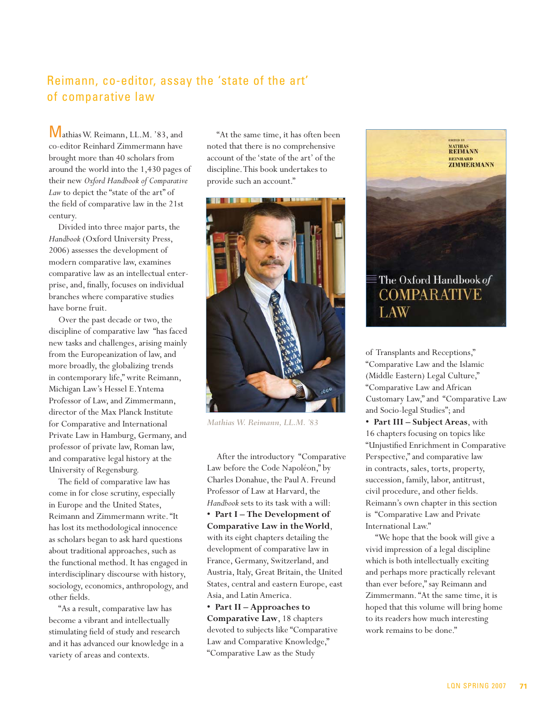#### Reimann, co-editor, assay the 'state of the art' of comparative law

Mathias W. Reimann, LL.M. '83, and co-editor Reinhard Zimmermann have brought more than 40 scholars from around the world into the 1,430 pages of their new *Oxford Handbook of Comparative*  Law to depict the "state of the art" of the field of comparative law in the 21st century.

Divided into three major parts, the *Handbook* (Oxford University Press, 2006) assesses the development of modern comparative law, examines comparative law as an intellectual enterprise, and, finally, focuses on individual branches where comparative studies have borne fruit.

Over the past decade or two, the discipline of comparative law "has faced new tasks and challenges, arising mainly from the Europeanization of law, and more broadly, the globalizing trends in contemporary life," write Reimann, Michigan Law's Hessel E. Yntema Professor of Law, and Zimmermann, director of the Max Planck Institute for Comparative and International Private Law in Hamburg, Germany, and professor of private law, Roman law, and comparative legal history at the University of Regensburg.

The field of comparative law has come in for close scrutiny, especially in Europe and the United States, Reimann and Zimmermann write. "It has lost its methodological innocence as scholars began to ask hard questions about traditional approaches, such as the functional method. It has engaged in interdisciplinary discourse with history, sociology, economics, anthropology, and other fields.

"As a result, comparative law has become a vibrant and intellectually stimulating field of study and research and it has advanced our knowledge in a variety of areas and contexts.

"At the same time, it has often been noted that there is no comprehensive account of the 'state of the art' of the discipline. This book undertakes to provide such an account."



*Mathias W. Reimann, LL.M. '83*

After the introductory "Comparative Law before the Code Napoléon," by Charles Donahue, the Paul A. Freund Professor of Law at Harvard, the *Handbook* sets to its task with a will: **• Part I – The Development of Comparative Law in the World**, with its eight chapters detailing the development of comparative law in France, Germany, Switzerland, and Austria, Italy, Great Britain, the United States, central and eastern Europe, east Asia, and Latin America.

**• Part II – Approaches to Comparative Law**, 18 chapters devoted to subjects like "Comparative Law and Comparative Knowledge," "Comparative Law as the Study



of Transplants and Receptions," "Comparative Law and the Islamic (Middle Eastern) Legal Culture," "Comparative Law and African Customary Law," and "Comparative Law and Socio-legal Studies"; and

**• Part III – Subject Areas**, with 16 chapters focusing on topics like "Unjustified Enrichment in Comparative Perspective," and comparative law in contracts, sales, torts, property, succession, family, labor, antitrust, civil procedure, and other fields. Reimann's own chapter in this section is "Comparative Law and Private International Law."

"We hope that the book will give a vivid impression of a legal discipline which is both intellectually exciting and perhaps more practically relevant than ever before," say Reimann and Zimmermann. "At the same time, it is hoped that this volume will bring home to its readers how much interesting work remains to be done."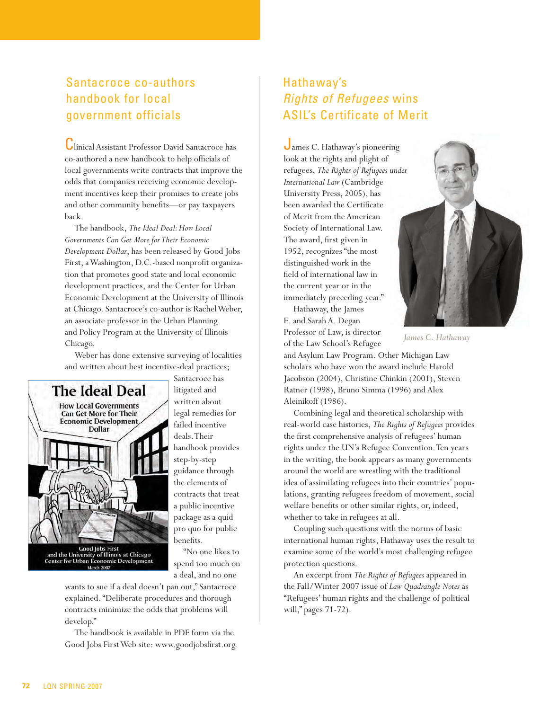### Santacroce co-authors handbook for local government officials

Clinical Assistant Professor David Santacroce has co-authored a new handbook to help officials of local governments write contracts that improve the odds that companies receiving economic development incentives keep their promises to create jobs and other community benefits—or pay taxpayers back.

The handbook, *The Ideal Deal: How Local Governments Can Get More for Their Economic Development Dollar*, has been released by Good Jobs First, a Washington, D.C.-based nonprofit organization that promotes good state and local economic development practices, and the Center for Urban Economic Development at the University of Illinois at Chicago. Santacroce's co-author is Rachel Weber, an associate professor in the Urban Planning and Policy Program at the University of Illinois-Chicago.

Weber has done extensive surveying of localities and written about best incentive-deal practices;



Santacroce has litigated and written about legal remedies for failed incentive deals. Their handbook provides step-by-step guidance through the elements of contracts that treat a public incentive package as a quid pro quo for public benefits.

"No one likes to spend too much on a deal, and no one

wants to sue if a deal doesn't pan out," Santacroce explained. "Deliberate procedures and thorough contracts minimize the odds that problems will develop."

The handbook is available in PDF form via the Good Jobs First Web site: www.goodjobsfirst.org.

### Hathaway's Rights of Refugees wins ASIL's Certificate of Merit

James C. Hathaway's pioneering look at the rights and plight of refugees, *The Rights of Refugees under International Law* (Cambridge University Press, 2005), has been awarded the Certificate of Merit from the American Society of International Law. The award, first given in 1952, recognizes "the most distinguished work in the field of international law in the current year or in the immediately preceding year."

Hathaway, the James E. and Sarah A. Degan Professor of Law, is director



*James C. Hathaway*<br>*James C. Hathaway* 

and Asylum Law Program. Other Michigan Law scholars who have won the award include Harold Jacobson (2004), Christine Chinkin (2001), Steven Ratner (1998), Bruno Simma (1996) and Alex Aleinikoff (1986).

Combining legal and theoretical scholarship with real-world case histories, *The Rights of Refugees* provides the first comprehensive analysis of refugees' human rights under the UN's Refugee Convention. Ten years in the writing, the book appears as many governments around the world are wrestling with the traditional idea of assimilating refugees into their countries' populations, granting refugees freedom of movement, social welfare benefits or other similar rights, or, indeed, whether to take in refugees at all.

Coupling such questions with the norms of basic international human rights, Hathaway uses the result to examine some of the world's most challenging refugee protection questions.

An excerpt from *The Rights of Refugees* appeared in the Fall/Winter 2007 issue of *Law Quadrangle Notes* as "Refugees' human rights and the challenge of political will," pages 71-72).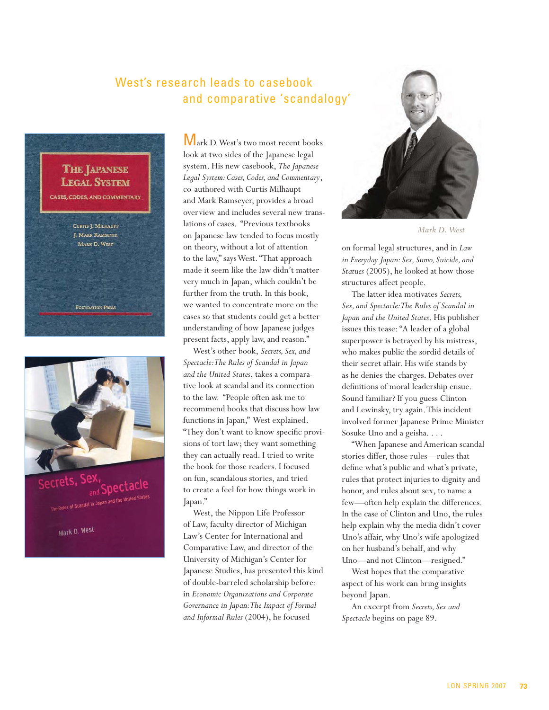#### West's research leads to casebook and comparative 'scandalogy'



Spectacle

Mark D. West

Wark D. West's two most recent books look at two sides of the Japanese legal system. His new casebook, *The Japanese Legal System: Cases, Codes, and Commentary*, co-authored with Curtis Milhaupt and Mark Ramseyer, provides a broad overview and includes several new translations of cases. "Previous textbooks on Japanese law tended to focus mostly on theory, without a lot of attention to the law," says West. "That approach made it seem like the law didn't matter very much in Japan, which couldn't be further from the truth. In this book, we wanted to concentrate more on the cases so that students could get a better understanding of how Japanese judges present facts, apply law, and reason."

West's other book, *Secrets, Sex, and Spectacle: The Rules of Scandal in Japan and the United States*, takes a comparative look at scandal and its connection to the law. "People often ask me to recommend books that discuss how law functions in Japan," West explained. "They don't want to know specific provisions of tort law; they want something they can actually read. I tried to write the book for those readers. I focused on fun, scandalous stories, and tried to create a feel for how things work in Japan."

West, the Nippon Life Professor of Law, faculty director of Michigan Law's Center for International and Comparative Law, and director of the University of Michigan's Center for Japanese Studies, has presented this kind of double-barreled scholarship before: in *Economic Organizations and Corporate Governance in Japan: The Impact of Formal and Informal Rules* (2004), he focused



*Mark D. West*

on formal legal structures, and in *Law in Everyday Japan: Sex, Sumo, Suicide, and Statues* (2005), he looked at how those structures affect people.

The latter idea motivates *Secrets, Sex, and Spectacle: The Rules of Scandal in Japan and the United States*. His publisher issues this tease: "A leader of a global superpower is betrayed by his mistress, who makes public the sordid details of their secret affair. His wife stands by as he denies the charges. Debates over definitions of moral leadership ensue. Sound familiar? If you guess Clinton and Lewinsky, try again. This incident involved former Japanese Prime Minister Sosuke Uno and a geisha. . . .

"When Japanese and American scandal stories differ, those rules—rules that define what's public and what's private, rules that protect injuries to dignity and honor, and rules about sex, to name a few—often help explain the differences. In the case of Clinton and Uno, the rules help explain why the media didn't cover Uno's affair, why Uno's wife apologized on her husband's behalf, and why Uno—and not Clinton—resigned."

West hopes that the comparative aspect of his work can bring insights beyond Japan.

An excerpt from *Secrets, Sex and Spectacle* begins on page 89.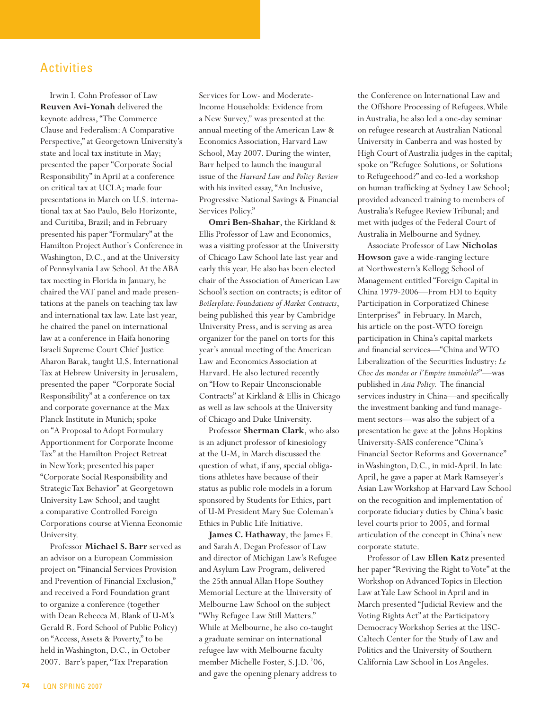#### ACTIVITIES Activities

Irwin I. Cohn Professor of Law **Reuven Avi-Yonah** delivered the keynote address, "The Commerce Clause and Federalism: A Comparative Perspective," at Georgetown University's state and local tax institute in May; presented the paper "Corporate Social Responsibility" in April at a conference on critical tax at UCLA; made four presentations in March on U.S. international tax at Sao Paulo, Belo Horizonte, and Curitiba, Brazil; and in February presented his paper "Formulary" at the Hamilton Project Author's Conference in Washington, D.C., and at the University of Pennsylvania Law School. At the ABA tax meeting in Florida in January, he chaired the VAT panel and made presentations at the panels on teaching tax law and international tax law. Late last year, he chaired the panel on international law at a conference in Haifa honoring Israeli Supreme Court Chief Justice Aharon Barak, taught U.S. International Tax at Hebrew University in Jerusalem, presented the paper "Corporate Social Responsibility" at a conference on tax and corporate governance at the Max Planck Institute in Munich; spoke on "A Proposal to Adopt Formulary Apportionment for Corporate Income Tax" at the Hamilton Project Retreat in New York; presented his paper "Corporate Social Responsibility and Strategic Tax Behavior" at Georgetown University Law School; and taught a comparative Controlled Foreign Corporations course at Vienna Economic University.

Professor **Michael S. Barr** served as an advisor on a European Commission project on "Financial Services Provision and Prevention of Financial Exclusion," and received a Ford Foundation grant to organize a conference (together with Dean Rebecca M. Blank of U-M's Gerald R. Ford School of Public Policy) on "Access, Assets & Poverty," to be held in Washington, D.C., in October 2007. Barr's paper, "Tax Preparation

Services for Low- and Moderate-Income Households: Evidence from a New Survey*,"* was presented at the annual meeting of the American Law & Economics Association, Harvard Law School, May 2007. During the winter, Barr helped to launch the inaugural issue of the *Harvard Law and Policy Review* with his invited essay, "An Inclusive, Progressive National Savings & Financial Services Policy."

**Omri Ben-Shahar**, the Kirkland & Ellis Professor of Law and Economics, was a visiting professor at the University of Chicago Law School late last year and early this year. He also has been elected chair of the Association of American Law School's section on contracts; is editor of *Boilerplate: Foundations of Market Contracts*, being published this year by Cambridge University Press, and is serving as area organizer for the panel on torts for this year's annual meeting of the American Law and Economics Association at Harvard. He also lectured recently on "How to Repair Unconscionable Contracts" at Kirkland & Ellis in Chicago as well as law schools at the University of Chicago and Duke University.

Professor **Sherman Clark**, who also is an adjunct professor of kinesiology at the U-M, in March discussed the question of what, if any, special obligations athletes have because of their status as public role models in a forum sponsored by Students for Ethics, part of U-M President Mary Sue Coleman's Ethics in Public Life Initiative.

**James C. Hathaway**, the James E. and Sarah A. Degan Professor of Law and director of Michigan Law's Refugee and Asylum Law Program, delivered the 25th annual Allan Hope Southey Memorial Lecture at the University of Melbourne Law School on the subject "Why Refugee Law Still Matters." While at Melbourne, he also co-taught a graduate seminar on international refugee law with Melbourne faculty member Michelle Foster, S.J.D. '06, and gave the opening plenary address to

the Conference on International Law and the Offshore Processing of Refugees. While in Australia, he also led a one-day seminar on refugee research at Australian National University in Canberra and was hosted by High Court of Australia judges in the capital; spoke on "Refugee Solutions, or Solutions to Refugeehood?" and co-led a workshop on human trafficking at Sydney Law School; provided advanced training to members of Australia's Refugee Review Tribunal; and met with judges of the Federal Court of Australia in Melbourne and Sydney.

Associate Professor of Law **Nicholas Howson** gave a wide-ranging lecture at Northwestern's Kellogg School of Management entitled "Foreign Capital in China 1979-2006—From FDI to Equity Participation in Corporatized Chinese Enterprises" in February. In March, his article on the post-WTO foreign participation in China's capital markets and financial services—"China and WTO Liberalization of the Securities Industry: *Le Choc des mondes or l'Empire immobile?*"—was published in *Asia Policy.* The financial services industry in China—and specifically the investment banking and fund management sectors—was also the subject of a presentation he gave at the Johns Hopkins University-SAIS conference "China's Financial Sector Reforms and Governance" in Washington, D.C., in mid-April. In late April, he gave a paper at Mark Ramseyer's Asian Law Workshop at Harvard Law School on the recognition and implementation of corporate fiduciary duties by China's basic level courts prior to 2005, and formal articulation of the concept in China's new corporate statute.

Professor of Law **Ellen Katz** presented her paper "Reviving the Right to Vote" at the Workshop on Advanced Topics in Election Law at Yale Law School in April and in March presented "Judicial Review and the Voting Rights Act" at the Participatory Democracy Workshop Series at the USC-Caltech Center for the Study of Law and Politics and the University of Southern California Law School in Los Angeles.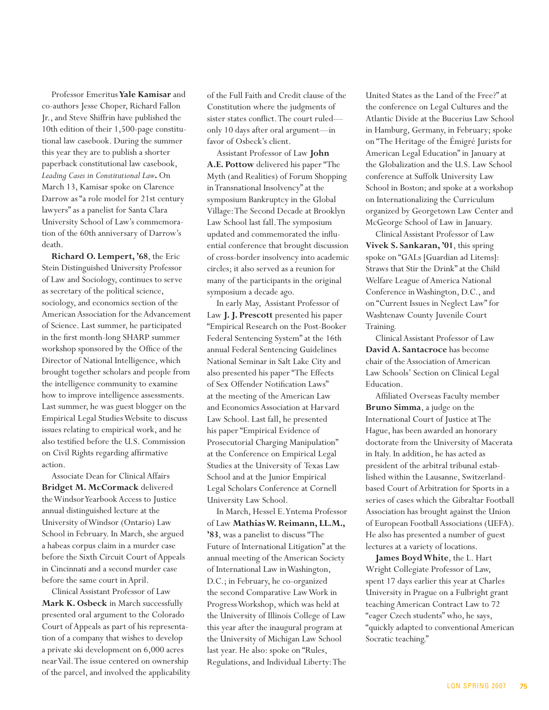Professor Emeritus **Yale Kamisar** and co-authors Jesse Choper, Richard Fallon Jr., and Steve Shiffrin have published the 10th edition of their 1,500-page constitutional law casebook. During the summer this year they are to publish a shorter paperback constitutional law casebook, *Leading Cases in Constitutional Law***.** On March 13, Kamisar spoke on Clarence Darrow as "a role model for 21st century lawyers" as a panelist for Santa Clara University School of Law's commemoration of the 60th anniversary of Darrow's death.

**Richard O. Lempert, '68**, the Eric Stein Distinguished University Professor of Law and Sociology, continues to serve as secretary of the political science, sociology, and economics section of the American Association for the Advancement of Science. Last summer, he participated in the first month-long SHARP summer workshop sponsored by the Office of the Director of National Intelligence, which brought together scholars and people from the intelligence community to examine how to improve intelligence assessments. Last summer, he was guest blogger on the Empirical Legal Studies Website to discuss issues relating to empirical work, and he also testified before the U.S. Commission on Civil Rights regarding affirmative action.

Associate Dean for Clinical Affairs **Bridget M. McCormack** delivered the Windsor Yearbook Access to Justice annual distinguished lecture at the University of Windsor (Ontario) Law School in February. In March, she argued a habeas corpus claim in a murder case before the Sixth Circuit Court of Appeals in Cincinnati and a second murder case before the same court in April.

Clinical Assistant Professor of Law **Mark K. Osbeck** in March successfully presented oral argument to the Colorado Court of Appeals as part of his representation of a company that wishes to develop a private ski development on 6,000 acres near Vail. The issue centered on ownership of the parcel, and involved the applicability of the Full Faith and Credit clause of the Constitution where the judgments of sister states conflict. The court ruled only 10 days after oral argument—in favor of Osbeck's client.

Assistant Professor of Law **John A.E. Pottow** delivered his paper "The Myth (and Realities) of Forum Shopping in Transnational Insolvency" at the symposium Bankruptcy in the Global Village: The Second Decade at Brooklyn Law School last fall. The symposium updated and commemorated the influential conference that brought discussion of cross-border insolvency into academic circles; it also served as a reunion for many of the participants in the original symposium a decade ago.

In early May, Assistant Professor of Law **J. J. Prescott** presented his paper "Empirical Research on the Post-Booker Federal Sentencing System" at the 16th annual Federal Sentencing Guidelines National Seminar in Salt Lake City and also presented his paper "The Effects of Sex Offender Notification Laws" at the meeting of the American Law and Economics Association at Harvard Law School. Last fall, he presented his paper "Empirical Evidence of Prosecutorial Charging Manipulation" at the Conference on Empirical Legal Studies at the University of Texas Law School and at the Junior Empirical Legal Scholars Conference at Cornell University Law School.

In March, Hessel E. Yntema Professor of Law **Mathias W. Reimann, LL.M., '83**, was a panelist to discuss "The Future of International Litigation" at the annual meeting of the American Society of International Law in Washington, D.C.; in February, he co-organized the second Comparative Law Work in Progress Workshop, which was held at the University of Illinois College of Law this year after the inaugural program at the University of Michigan Law School last year. He also: spoke on "Rules, Regulations, and Individual Liberty: The United States as the Land of the Free?" at the conference on Legal Cultures and the Atlantic Divide at the Bucerius Law School in Hamburg, Germany, in February; spoke on "The Heritage of the Émigré Jurists for American Legal Education" in January at the Globalization and the U.S. Law School conference at Suffolk University Law School in Boston; and spoke at a workshop on Internationalizing the Curriculum organized by Georgetown Law Center and McGeorge School of Law in January.

Clinical Assistant Professor of Law **Vivek S. Sankaran, '01**, this spring spoke on "GALs [Guardian ad Litems]: Straws that Stir the Drink" at the Child Welfare League of America National Conference in Washington, D.C., and on "Current Issues in Neglect Law" for Washtenaw County Juvenile Court Training.

Clinical Assistant Professor of Law **David A. Santacroce** has become chair of the Association of American Law Schools' Section on Clinical Legal Education.

Affiliated Overseas Faculty member **Bruno Simma**, a judge on the International Court of Justice at The Hague, has been awarded an honorary doctorate from the University of Macerata in Italy. In addition, he has acted as president of the arbitral tribunal established within the Lausanne, Switzerlandbased Court of Arbitration for Sports in a series of cases which the Gibraltar Football Association has brought against the Union of European Football Associations (UEFA). He also has presented a number of guest lectures at a variety of locations.

**James Boyd White**, the L. Hart Wright Collegiate Professor of Law, spent 17 days earlier this year at Charles University in Prague on a Fulbright grant teaching American Contract Law to 72 "eager Czech students" who, he says, "quickly adapted to conventional American Socratic teaching."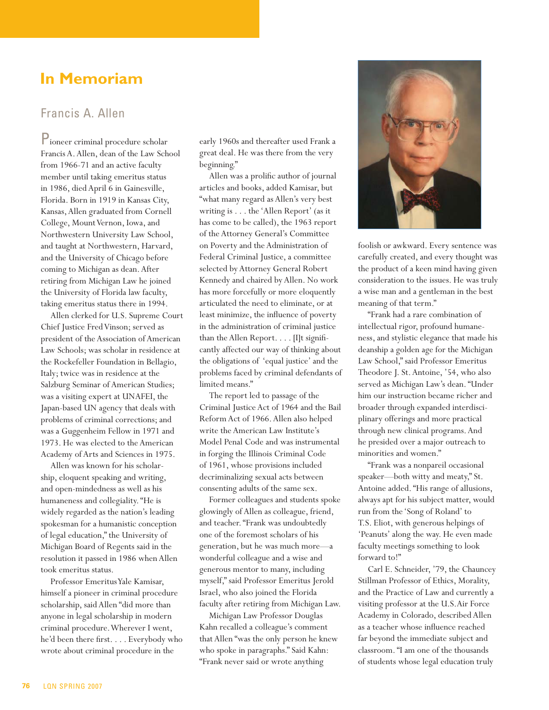# **In Memoriam**

#### Francis A. Allen

Pioneer criminal procedure scholar Francis A. Allen, dean of the Law School from 1966-71 and an active faculty member until taking emeritus status in 1986, died April 6 in Gainesville, Florida. Born in 1919 in Kansas City, Kansas, Allen graduated from Cornell College, Mount Vernon, Iowa, and Northwestern University Law School, and taught at Northwestern, Harvard, and the University of Chicago before coming to Michigan as dean. After retiring from Michigan Law he joined the University of Florida law faculty, taking emeritus status there in 1994.

Allen clerked for U.S. Supreme Court Chief Justice Fred Vinson; served as president of the Association of American Law Schools; was scholar in residence at the Rockefeller Foundation in Bellagio, Italy; twice was in residence at the Salzburg Seminar of American Studies; was a visiting expert at UNAFEI, the Japan-based UN agency that deals with problems of criminal corrections; and was a Guggenheim Fellow in 1971 and 1973. He was elected to the American Academy of Arts and Sciences in 1975.

Allen was known for his scholarship, eloquent speaking and writing, and open-mindedness as well as his humaneness and collegiality. "He is widely regarded as the nation's leading spokesman for a humanistic conception of legal education," the University of Michigan Board of Regents said in the resolution it passed in 1986 when Allen took emeritus status.

Professor Emeritus Yale Kamisar, himself a pioneer in criminal procedure scholarship, said Allen "did more than anyone in legal scholarship in modern criminal procedure. Wherever I went, he'd been there first. . . . Everybody who wrote about criminal procedure in the

early 1960s and thereafter used Frank a great deal. He was there from the very beginning."

Allen was a prolific author of journal articles and books, added Kamisar, but "what many regard as Allen's very best writing is . . . the 'Allen Report' (as it has come to be called), the 1963 report of the Attorney General's Committee on Poverty and the Administration of Federal Criminal Justice, a committee selected by Attorney General Robert Kennedy and chaired by Allen. No work has more forcefully or more eloquently articulated the need to eliminate, or at least minimize, the influence of poverty in the administration of criminal justice than the Allen Report. . . . [I]t significantly affected our way of thinking about the obligations of 'equal justice' and the problems faced by criminal defendants of limited means."

The report led to passage of the Criminal Justice Act of 1964 and the Bail Reform Act of 1966. Allen also helped write the American Law Institute's Model Penal Code and was instrumental in forging the Illinois Criminal Code of 1961, whose provisions included decriminalizing sexual acts between consenting adults of the same sex.

Former colleagues and students spoke glowingly of Allen as colleague, friend, and teacher. "Frank was undoubtedly one of the foremost scholars of his generation, but he was much more—a wonderful colleague and a wise and generous mentor to many, including myself," said Professor Emeritus Jerold Israel, who also joined the Florida faculty after retiring from Michigan Law.

Michigan Law Professor Douglas Kahn recalled a colleague's comment that Allen "was the only person he knew who spoke in paragraphs." Said Kahn: "Frank never said or wrote anything



foolish or awkward. Every sentence was carefully created, and every thought was the product of a keen mind having given consideration to the issues. He was truly a wise man and a gentleman in the best meaning of that term."

"Frank had a rare combination of intellectual rigor, profound humaneness, and stylistic elegance that made his deanship a golden age for the Michigan Law School," said Professor Emeritus Theodore J. St. Antoine, '54, who also served as Michigan Law's dean. "Under him our instruction became richer and broader through expanded interdisciplinary offerings and more practical through new clinical programs. And he presided over a major outreach to minorities and women."

"Frank was a nonpareil occasional speaker—both witty and meaty," St. Antoine added. "His range of allusions, always apt for his subject matter, would run from the 'Song of Roland' to T.S. Eliot, with generous helpings of 'Peanuts' along the way. He even made faculty meetings something to look forward to!"

Carl E. Schneider, '79, the Chauncey Stillman Professor of Ethics, Morality, and the Practice of Law and currently a visiting professor at the U.S.Air Force Academy in Colorado, described Allen as a teacher whose influence reached far beyond the immediate subject and classroom. "I am one of the thousands of students whose legal education truly